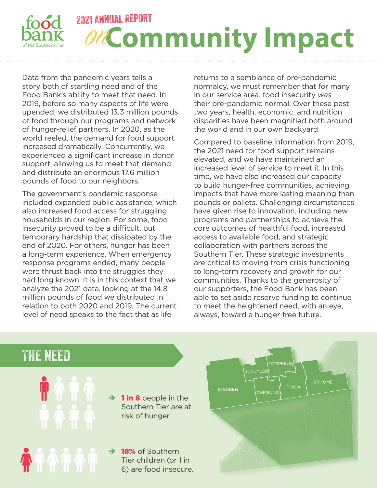

Data from the pandemic years tells a story both of startling need and of the Food Bank's ability to meet that need. In 2019, before so many aspects of life were upended, we distributed 13.3 million pounds of food through our programs and network of hunger-relief partners. In 2020, as the world reeled, the demand for food support increased dramatically. Concurrently, we experienced a significant increase in donor support, allowing us to meet that demand and distribute an enormous 17.6 million pounds of food to our neighbors.

The government's pandemic response included expanded public assistance, which also increased food access for struggling households in our region. For some, food insecurity proved to be a difficult, but temporary hardship that dissipated by the end of 2020. For others, hunger has been a long-term experience. When emergency response programs ended, many people were thrust back into the struggles they had long known. It is in this context that we analyze the 2021 data, looking at the 14.8 million pounds of food we distributed in relation to both 2020 and 2019. The current level of need speaks to the fact that as life

returns to a semblance of pre-pandemic normalcy, we must remember that for many in our service area, food insecurity *was* their pre-pandemic normal. Over these past two years, health, economic, and nutrition disparities have been magnified both around the world and in our own backyard.

Compared to baseline information from 2019, the 2021 need for food support remains elevated, and we have maintained an increased level of service to meet it. In this time, we have also increased our capacity to build hunger-free communities, achieving impacts that have more lasting meaning than pounds or pallets. Challenging circumstances have given rise to innovation, including new programs and partnerships to achieve the core outcomes of healthful food, increased access to available food, and strategic collaboration with partners across the Southern Tier. These strategic investments are critical to moving from crisis functioning to long-term recovery and growth for our communities. Thanks to the generosity of our supporters, the Food Bank has been able to set aside reserve funding to continue to meet the heightened need, with an eye, always, toward a hunger-free future.

## THE NEED

 $\rightarrow$  1 in 8 people in the Southern Tier are at risk of hunger.

 $\rightarrow$  18% of Southern Tier children (or 1 in 6) are food insecure.

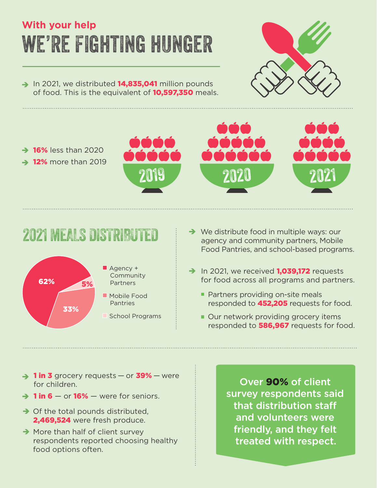# we're fighting hunger **With your help**

 $\rightarrow$  In 2021, we distributed **14,835,041** million pounds of food. This is the equivalent of **10,597,350** meals.



 $\rightarrow$  16% less than 2020  $\rightarrow$  12% more than 2019







- $2021$  MEALS DISTRIBUTED  $\rightarrow$  We distribute food in multiple ways: our agency and community partners, Mobile Food Pantries, and school-based programs.
	- $\rightarrow$  In 2021, we received **1,039,172** requests for food across all programs and partners.
		- **Partners providing on-site meals** responded to **452,205** requests for food.
		- Our network providing grocery items responded to **586,967** requests for food.
- $\rightarrow$  1 in 3 grocery requests or 39% were for children.
- $\rightarrow$  1 in 6 or 16% were for seniors.
- $\rightarrow$  Of the total pounds distributed, 2,469,524 were fresh produce.
- $\rightarrow$  More than half of client survey respondents reported choosing healthy food options often.

Over 90% of client survey respondents said that distribution staff and volunteers were friendly, and they felt treated with respect.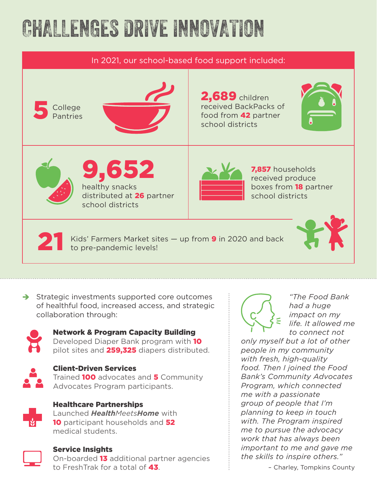# CHALLENGES DRIVE INNOVATION



 $\rightarrow$  Strategic investments supported core outcomes of healthful food, increased access, and strategic collaboration through:



### Network & Program Capacity Building

Developed Diaper Bank program with 10 pilot sites and 259,325 diapers distributed.



### Client-Driven Services

Trained **100** advocates and **5** Community Advocates Program participants.



Healthcare Partnerships

Launched *HealthMeetsHome* with 10 participant households and 52 medical students.



#### Service Insights

On-boarded 13 additional partner agencies to FreshTrak for a total of 43.



*"The Food Bank had a huge impact on my life. It allowed me to connect not* 

*only myself but a lot of other people in my community with fresh, high-quality food. Then I joined the Food Bank's Community Advocates Program, which connected me with a passionate group of people that I'm planning to keep in touch with. The Program inspired me to pursue the advocacy work that has always been important to me and gave me the skills to inspire others."* 

– Charley, Tompkins County